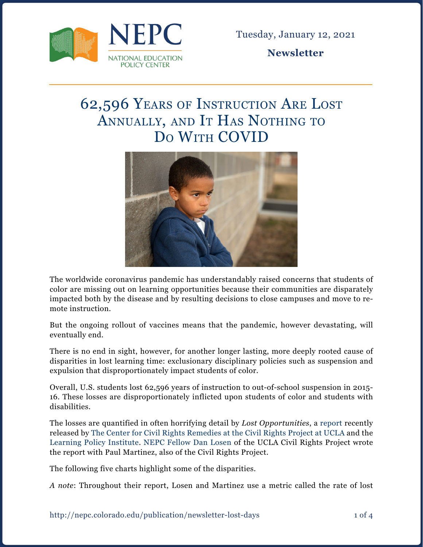

Tuesday, January 12, 2021

**Newsletter**

# 62,596 Years of Instruction Are Lost ANNUALLY, AND IT HAS NOTHING TO Do With COVID



The worldwide coronavirus pandemic has understandably raised concerns that students of color are missing out on learning opportunities because their communities are disparately impacted both by the disease and by resulting decisions to close campuses and move to remote instruction.

But the ongoing rollout of vaccines means that the pandemic, however devastating, will eventually end.

There is no end in sight, however, for another longer lasting, more deeply rooted cause of disparities in lost learning time: exclusionary disciplinary policies such as suspension and expulsion that disproportionately impact students of color.

Overall, U.S. students lost 62,596 years of instruction to out-of-school suspension in 2015- 16. These losses are disproportionately inflicted upon students of color and students with disabilities.

The losses are quantified in often horrifying detail by *Lost Opportunities*, [a report](https://www.civilrightsproject.ucla.edu/research/k-12-education/school-discipline/lost-opportunities-how-disparate-school-discipline-continues-to-drive-differences-in-the-opportunity-to-learn) recently released by [The Center for Civil Rights Remedies at the Civil Rights Project at UCLA](https://www.civilrightsproject.ucla.edu/resources/projects/center-for-civil-rights-remedies/front-matter) and the [Learning Policy Institute](https://learningpolicyinstitute.org/). [NEPC Fellow Dan Losen](https://nepc.colorado.edu/author/losen-daniel-j) of the UCLA Civil Rights Project wrote the report with Paul Martinez, also of the Civil Rights Project.

The following five charts highlight some of the disparities.

*A note*: Throughout their report, Losen and Martinez use a metric called the rate of lost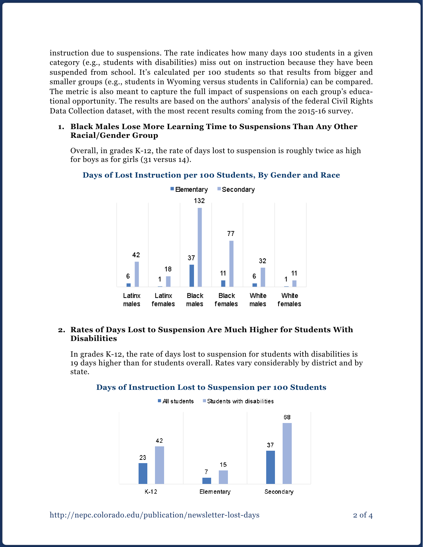instruction due to suspensions. The rate indicates how many days 100 students in a given category (e.g., students with disabilities) miss out on instruction because they have been suspended from school. It's calculated per 100 students so that results from bigger and smaller groups (e.g., students in Wyoming versus students in California) can be compared. The metric is also meant to capture the full impact of suspensions on each group's educational opportunity. The results are based on the authors' analysis of the federal Civil Rights Data Collection dataset, with the most recent results coming from the 2015-16 survey.

# **1. Black Males Lose More Learning Time to Suspensions Than Any Other Racial/Gender Group**

Overall, in grades K-12, the rate of days lost to suspension is roughly twice as high for boys as for girls (31 versus 14).



# **Days of Lost Instruction per 100 Students, By Gender and Race**

# **2. Rates of Days Lost to Suspension Are Much Higher for Students With Disabilities**

In grades K-12, the rate of days lost to suspension for students with disabilities is 19 days higher than for students overall. Rates vary considerably by district and by state.



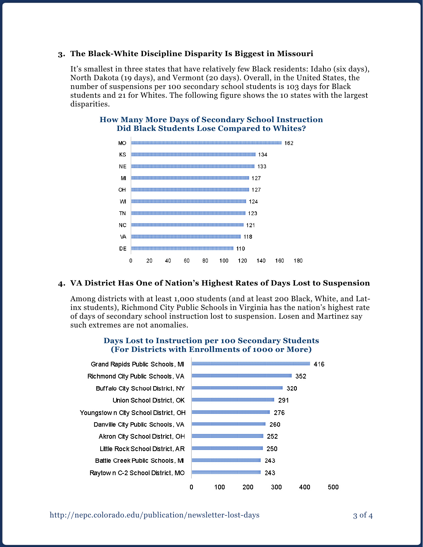# **3. The Black-White Discipline Disparity Is Biggest in Missouri**

It's smallest in three states that have relatively few Black residents: Idaho (six days), North Dakota (19 days), and Vermont (20 days). Overall, in the United States, the number of suspensions per 100 secondary school students is 103 days for Black students and 21 for Whites. The following figure shows the 10 states with the largest disparities.



# **How Many More Days of Secondary School Instruction Did Black Students Lose Compared to Whites?**

#### **4. VA District Has One of Nation's Highest Rates of Days Lost to Suspension**

Among districts with at least 1,000 students (and at least 200 Black, White, and Latinx students), Richmond City Public Schools in Virginia has the nation's highest rate of days of secondary school instruction lost to suspension. Losen and Martinez say such extremes are not anomalies.

#### **Days Lost to Instruction per 100 Secondary Students (For Districts with Enrollments of 1000 or More)**

| Grand Rapids Public Schools, MI      | 416                                  |
|--------------------------------------|--------------------------------------|
| Richmond City Public Schools, VA     | 352                                  |
| Buffalo City School District, NY     | 320                                  |
| Union School District, OK            | 291                                  |
| Youngstow n City School District, OH | 276                                  |
| Danville City Public Schools, VA     | 260                                  |
| Akron City School District, OH       | 252                                  |
| Little Rock School District, AR      | 250                                  |
| Battle Creek Public Schools, M       | 243                                  |
| Raytown C-2 School District, MO      | 243                                  |
|                                      | 100<br>300<br>500<br>200<br>400<br>0 |